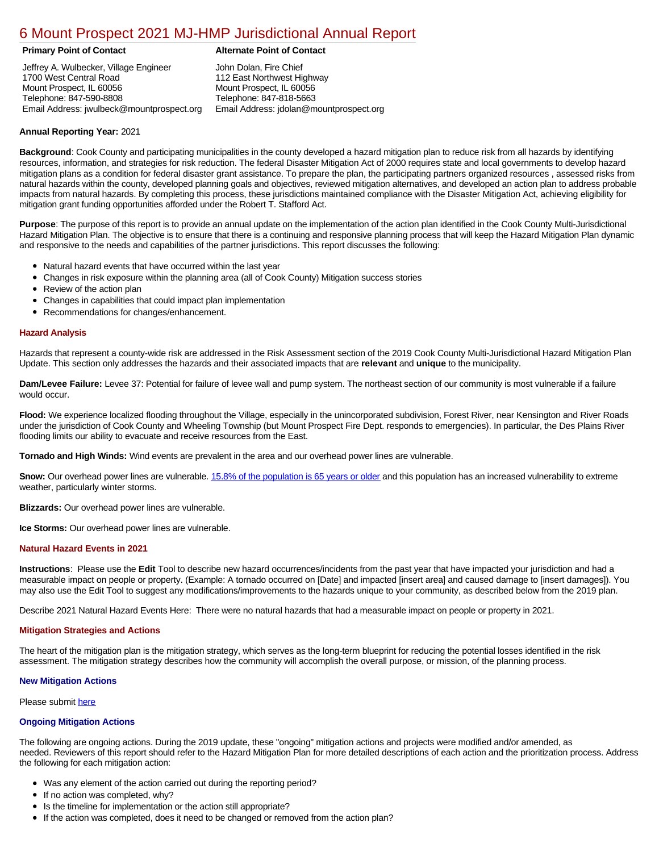# [6 Mount Prospect 2021 MJ-HMP Jurisdictional Annual Report](https://mtprospect.isc-cemp.com/Cemp/Details?id=8322795)

# **Primary Point of Contact Alternate Point of Contact**

Jeffrey A. Wulbecker, Village Engineer 1700 West Central Road Mount Prospect, IL 60056 Telephone: 847-590-8808 Email Address: jwulbeck@mountprospect.org

John Dolan, Fire Chief 112 East Northwest Highway Mount Prospect, IL 60056 Telephone: 847-818-5663 Email Address: jdolan@mountprospect.org

# **Annual Reporting Year:** 2021

**Background**: Cook County and participating municipalities in the county developed a hazard mitigation plan to reduce risk from all hazards by identifying resources, information, and strategies for risk reduction. The federal Disaster Mitigation Act of 2000 requires state and local governments to develop hazard mitigation plans as a condition for federal disaster grant assistance. To prepare the plan, the participating partners organized resources , assessed risks from natural hazards within the county, developed planning goals and objectives, reviewed mitigation alternatives, and developed an action plan to address probable impacts from natural hazards. By completing this process, these jurisdictions maintained compliance with the Disaster Mitigation Act, achieving eligibility for mitigation grant funding opportunities afforded under the Robert T. Stafford Act.

**Purpose**: The purpose of this report is to provide an annual update on the implementation of the action plan identified in the Cook County Multi-Jurisdictional Hazard Mitigation Plan. The objective is to ensure that there is a continuing and responsive planning process that will keep the Hazard Mitigation Plan dynamic and responsive to the needs and capabilities of the partner jurisdictions. This report discusses the following:

- Natural hazard events that have occurred within the last year
- $\bullet$ Changes in risk exposure within the planning area (all of Cook County) Mitigation success stories
- Review of the action plan  $\bullet$
- $\bullet$ Changes in capabilities that could impact plan implementation
- Recommendations for changes/enhancement.  $\bullet$

### **Hazard Analysis**

Hazards that represent a county-wide risk are addressed in the Risk Assessment section of the 2019 Cook County Multi-Jurisdictional Hazard Mitigation Plan Update. This section only addresses the hazards and their associated impacts that are **relevant** and **unique** to the municipality.

**Dam/Levee Failure:** Levee 37: Potential for failure of levee wall and pump system. The northeast section of our community is most vulnerable if a failure would occur.

**Flood:** We experience localized flooding throughout the Village, especially in the unincorporated subdivision, Forest River, near Kensington and River Roads under the jurisdiction of Cook County and Wheeling Township (but Mount Prospect Fire Dept. responds to emergencies). In particular, the Des Plains River flooding limits our ability to evacuate and receive resources from the East.

**Tornado and High Winds:** Wind events are prevalent in the area and our overhead power lines are vulnerable.

**Snow:** Our overhead power lines are vulnerable. [15.8% of the population is 65 years or older](https://factfinder.census.gov/faces/nav/jsf/pages/index.xhtml) and this population has an increased vulnerability to extreme weather, particularly winter storms.

**Blizzards:** Our overhead power lines are vulnerable.

**Ice Storms:** Our overhead power lines are vulnerable.

# **Natural Hazard Events in 2021**

**Instructions**: Please use the **Edit** Tool to describe new hazard occurrences/incidents from the past year that have impacted your jurisdiction and had a measurable impact on people or property. (Example: A tornado occurred on [Date] and impacted [insert area] and caused damage to [insert damages]). You may also use the Edit Tool to suggest any modifications/improvements to the hazards unique to your community, as described below from the 2019 plan.

Describe 2021 Natural Hazard Events Here: There were no natural hazards that had a measurable impact on people or property in 2021.

#### **Mitigation Strategies and Actions**

The heart of the mitigation plan is the mitigation strategy, which serves as the long-term blueprint for reducing the potential losses identified in the risk assessment. The mitigation strategy describes how the community will accomplish the overall purpose, or mission, of the planning process.

#### **New Mitigation Actions**

Please submit [here](https://integratedsolutions.wufoo.com/forms/mg21jvf0jn639o/)

#### **Ongoing Mitigation Actions**

The following are ongoing actions. During the 2019 update, these "ongoing" mitigation actions and projects were modified and/or amended, as needed. Reviewers of this report should refer to the Hazard Mitigation Plan for more detailed descriptions of each action and the prioritization process. Address the following for each mitigation action:

- Was any element of the action carried out during the reporting period?
- If no action was completed, why?
- Is the timeline for implementation or the action still appropriate?
- If the action was completed, does it need to be changed or removed from the action plan?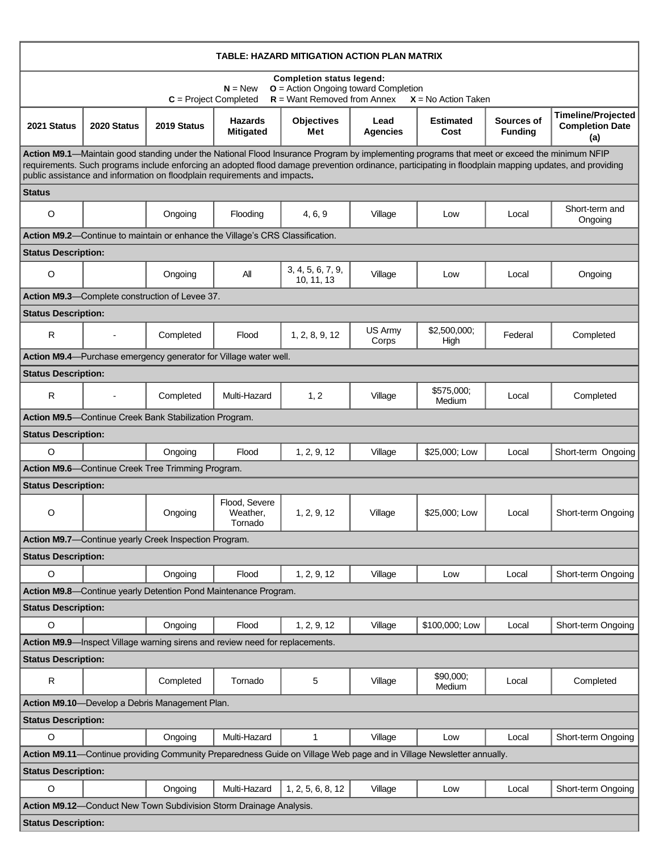| TABLE: HAZARD MITIGATION ACTION PLAN MATRIX                                                                                                                                                                                                                                                                                                                                        |                |                                                                              |                                      |                                 |                         |                          |                              |                                                            |  |  |  |
|------------------------------------------------------------------------------------------------------------------------------------------------------------------------------------------------------------------------------------------------------------------------------------------------------------------------------------------------------------------------------------|----------------|------------------------------------------------------------------------------|--------------------------------------|---------------------------------|-------------------------|--------------------------|------------------------------|------------------------------------------------------------|--|--|--|
| <b>Completion status legend:</b><br>$O =$ Action Ongoing toward Completion<br>$N = New$<br>$R =$ Want Removed from Annex<br>$C = Project Completed$<br>$X = No$ Action Taken                                                                                                                                                                                                       |                |                                                                              |                                      |                                 |                         |                          |                              |                                                            |  |  |  |
| 2021 Status                                                                                                                                                                                                                                                                                                                                                                        | 2020 Status    | 2019 Status                                                                  | <b>Hazards</b><br><b>Mitigated</b>   | <b>Objectives</b><br>Met        | Lead<br><b>Agencies</b> | <b>Estimated</b><br>Cost | Sources of<br><b>Funding</b> | <b>Timeline/Projected</b><br><b>Completion Date</b><br>(a) |  |  |  |
| Action M9.1—Maintain good standing under the National Flood Insurance Program by implementing programs that meet or exceed the minimum NFIP<br>requirements. Such programs include enforcing an adopted flood damage prevention ordinance, participating in floodplain mapping updates, and providing<br>public assistance and information on floodplain requirements and impacts. |                |                                                                              |                                      |                                 |                         |                          |                              |                                                            |  |  |  |
| <b>Status</b>                                                                                                                                                                                                                                                                                                                                                                      |                |                                                                              |                                      |                                 |                         |                          |                              |                                                            |  |  |  |
| O                                                                                                                                                                                                                                                                                                                                                                                  |                | Ongoing                                                                      | Flooding                             | 4, 6, 9                         | Village                 | Low                      | Local                        | Short-term and<br>Ongoing                                  |  |  |  |
| Action M9.2-Continue to maintain or enhance the Village's CRS Classification.                                                                                                                                                                                                                                                                                                      |                |                                                                              |                                      |                                 |                         |                          |                              |                                                            |  |  |  |
| <b>Status Description:</b>                                                                                                                                                                                                                                                                                                                                                         |                |                                                                              |                                      |                                 |                         |                          |                              |                                                            |  |  |  |
| $\circ$                                                                                                                                                                                                                                                                                                                                                                            |                | Ongoing                                                                      | All                                  | 3, 4, 5, 6, 7, 9,<br>10, 11, 13 | Village                 | Low                      | Local                        | Ongoing                                                    |  |  |  |
|                                                                                                                                                                                                                                                                                                                                                                                    |                | Action M9.3-Complete construction of Levee 37.                               |                                      |                                 |                         |                          |                              |                                                            |  |  |  |
| <b>Status Description:</b>                                                                                                                                                                                                                                                                                                                                                         |                |                                                                              |                                      |                                 |                         |                          |                              |                                                            |  |  |  |
| $\mathsf{R}$                                                                                                                                                                                                                                                                                                                                                                       |                | Completed                                                                    | Flood                                | 1, 2, 8, 9, 12                  | US Army<br>Corps        | \$2,500,000;<br>High     | Federal                      | Completed                                                  |  |  |  |
|                                                                                                                                                                                                                                                                                                                                                                                    |                | Action M9.4-Purchase emergency generator for Village water well.             |                                      |                                 |                         |                          |                              |                                                            |  |  |  |
| <b>Status Description:</b>                                                                                                                                                                                                                                                                                                                                                         |                |                                                                              |                                      |                                 |                         |                          |                              |                                                            |  |  |  |
| R                                                                                                                                                                                                                                                                                                                                                                                  | $\blacksquare$ | Completed                                                                    | Multi-Hazard                         | 1, 2                            | Village                 | \$575,000;<br>Medium     | Local                        | Completed                                                  |  |  |  |
|                                                                                                                                                                                                                                                                                                                                                                                    |                | Action M9.5-Continue Creek Bank Stabilization Program.                       |                                      |                                 |                         |                          |                              |                                                            |  |  |  |
| <b>Status Description:</b>                                                                                                                                                                                                                                                                                                                                                         |                |                                                                              |                                      |                                 |                         |                          |                              |                                                            |  |  |  |
| $\circ$                                                                                                                                                                                                                                                                                                                                                                            |                | Ongoing                                                                      | Flood                                | 1, 2, 9, 12                     | Village                 | \$25,000; Low            | Local                        | Short-term Ongoing                                         |  |  |  |
|                                                                                                                                                                                                                                                                                                                                                                                    |                | Action M9.6-Continue Creek Tree Trimming Program.                            |                                      |                                 |                         |                          |                              |                                                            |  |  |  |
| <b>Status Description:</b>                                                                                                                                                                                                                                                                                                                                                         |                |                                                                              |                                      |                                 |                         |                          |                              |                                                            |  |  |  |
| O                                                                                                                                                                                                                                                                                                                                                                                  |                | Ongoing                                                                      | Flood, Severe<br>Weather,<br>Tornado | 1, 2, 9, 12                     | Village                 | \$25,000: Low            | Local                        | Short-term Ongoing                                         |  |  |  |
|                                                                                                                                                                                                                                                                                                                                                                                    |                | Action M9.7-Continue yearly Creek Inspection Program.                        |                                      |                                 |                         |                          |                              |                                                            |  |  |  |
| <b>Status Description:</b>                                                                                                                                                                                                                                                                                                                                                         |                |                                                                              |                                      |                                 |                         |                          |                              |                                                            |  |  |  |
| $\circ$                                                                                                                                                                                                                                                                                                                                                                            |                | Ongoing                                                                      | Flood                                | 1, 2, 9, 12                     | Village                 | Low                      | Local                        | Short-term Ongoing                                         |  |  |  |
|                                                                                                                                                                                                                                                                                                                                                                                    |                | Action M9.8-Continue yearly Detention Pond Maintenance Program.              |                                      |                                 |                         |                          |                              |                                                            |  |  |  |
| <b>Status Description:</b>                                                                                                                                                                                                                                                                                                                                                         |                |                                                                              |                                      |                                 |                         |                          |                              |                                                            |  |  |  |
| $\circ$                                                                                                                                                                                                                                                                                                                                                                            |                | Ongoing                                                                      | Flood                                | 1, 2, 9, 12                     | Village                 | \$100,000; Low           | Local                        | Short-term Ongoing                                         |  |  |  |
|                                                                                                                                                                                                                                                                                                                                                                                    |                | Action M9.9-Inspect Village warning sirens and review need for replacements. |                                      |                                 |                         |                          |                              |                                                            |  |  |  |
| <b>Status Description:</b>                                                                                                                                                                                                                                                                                                                                                         |                |                                                                              |                                      |                                 |                         |                          |                              |                                                            |  |  |  |
| R                                                                                                                                                                                                                                                                                                                                                                                  |                | Completed                                                                    | Tornado                              | 5                               | Village                 | \$90,000;<br>Medium      | Local                        | Completed                                                  |  |  |  |
| Action M9.10-Develop a Debris Management Plan.                                                                                                                                                                                                                                                                                                                                     |                |                                                                              |                                      |                                 |                         |                          |                              |                                                            |  |  |  |
| <b>Status Description:</b>                                                                                                                                                                                                                                                                                                                                                         |                |                                                                              |                                      |                                 |                         |                          |                              |                                                            |  |  |  |
| $\circ$                                                                                                                                                                                                                                                                                                                                                                            |                | Ongoing                                                                      | Multi-Hazard                         | 1                               | Village                 | Low                      | Local                        | Short-term Ongoing                                         |  |  |  |
| Action M9.11-Continue providing Community Preparedness Guide on Village Web page and in Village Newsletter annually.                                                                                                                                                                                                                                                               |                |                                                                              |                                      |                                 |                         |                          |                              |                                                            |  |  |  |
| <b>Status Description:</b>                                                                                                                                                                                                                                                                                                                                                         |                |                                                                              |                                      |                                 |                         |                          |                              |                                                            |  |  |  |
| O                                                                                                                                                                                                                                                                                                                                                                                  |                | Ongoing                                                                      | Multi-Hazard                         | 1, 2, 5, 6, 8, 12               | Village                 | Low                      | Local                        | Short-term Ongoing                                         |  |  |  |
|                                                                                                                                                                                                                                                                                                                                                                                    |                | Action M9.12-Conduct New Town Subdivision Storm Drainage Analysis.           |                                      |                                 |                         |                          |                              |                                                            |  |  |  |
| <b>Status Description:</b>                                                                                                                                                                                                                                                                                                                                                         |                |                                                                              |                                      |                                 |                         |                          |                              |                                                            |  |  |  |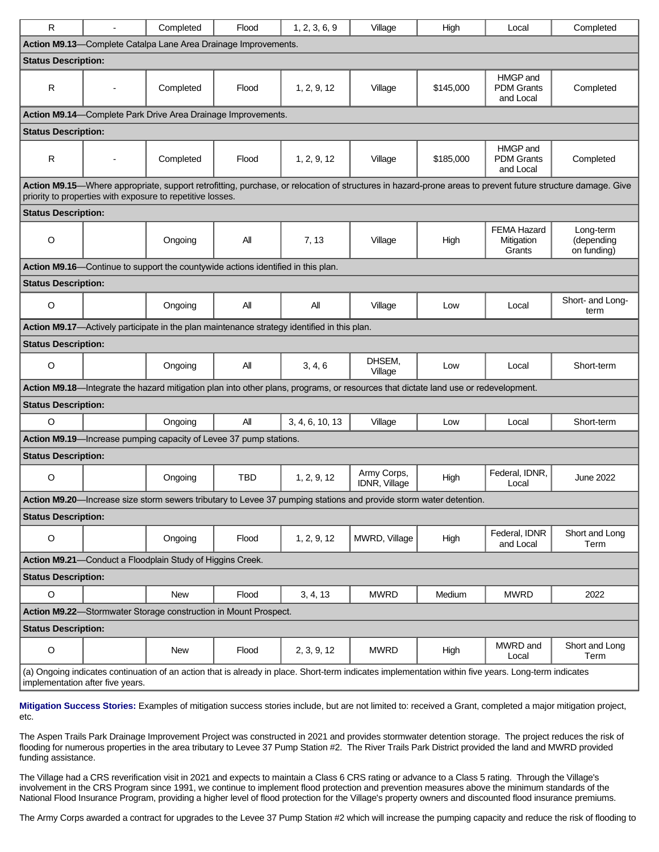| R.                                                                                                                                                                                                                       |  | Completed  | Flood      | 1, 2, 3, 6, 9   | Village                      | High      | Local                                      | Completed                              |  |  |  |  |  |
|--------------------------------------------------------------------------------------------------------------------------------------------------------------------------------------------------------------------------|--|------------|------------|-----------------|------------------------------|-----------|--------------------------------------------|----------------------------------------|--|--|--|--|--|
| Action M9.13-Complete Catalpa Lane Area Drainage Improvements.                                                                                                                                                           |  |            |            |                 |                              |           |                                            |                                        |  |  |  |  |  |
| <b>Status Description:</b>                                                                                                                                                                                               |  |            |            |                 |                              |           |                                            |                                        |  |  |  |  |  |
| R                                                                                                                                                                                                                        |  | Completed  | Flood      | 1, 2, 9, 12     | Village                      | \$145,000 | HMGP and<br><b>PDM Grants</b><br>and Local | Completed                              |  |  |  |  |  |
| Action M9.14-Complete Park Drive Area Drainage Improvements.                                                                                                                                                             |  |            |            |                 |                              |           |                                            |                                        |  |  |  |  |  |
| <b>Status Description:</b>                                                                                                                                                                                               |  |            |            |                 |                              |           |                                            |                                        |  |  |  |  |  |
| R                                                                                                                                                                                                                        |  | Completed  | Flood      | 1, 2, 9, 12     | Village                      | \$185,000 | HMGP and<br><b>PDM Grants</b><br>and Local | Completed                              |  |  |  |  |  |
| Action M9.15-Where appropriate, support retrofitting, purchase, or relocation of structures in hazard-prone areas to prevent future structure damage. Give<br>priority to properties with exposure to repetitive losses. |  |            |            |                 |                              |           |                                            |                                        |  |  |  |  |  |
| <b>Status Description:</b>                                                                                                                                                                                               |  |            |            |                 |                              |           |                                            |                                        |  |  |  |  |  |
| $\circ$                                                                                                                                                                                                                  |  | Ongoing    | All        | 7, 13           | Village                      | High      | <b>FEMA Hazard</b><br>Mitigation<br>Grants | Long-term<br>(depending<br>on funding) |  |  |  |  |  |
| Action M9.16—Continue to support the countywide actions identified in this plan.                                                                                                                                         |  |            |            |                 |                              |           |                                            |                                        |  |  |  |  |  |
| <b>Status Description:</b>                                                                                                                                                                                               |  |            |            |                 |                              |           |                                            |                                        |  |  |  |  |  |
| $\circ$                                                                                                                                                                                                                  |  | Ongoing    | All        | All             | Village                      | Low       | Local                                      | Short- and Long-<br>term               |  |  |  |  |  |
| Action M9.17-Actively participate in the plan maintenance strategy identified in this plan.                                                                                                                              |  |            |            |                 |                              |           |                                            |                                        |  |  |  |  |  |
| <b>Status Description:</b>                                                                                                                                                                                               |  |            |            |                 |                              |           |                                            |                                        |  |  |  |  |  |
| O                                                                                                                                                                                                                        |  | Ongoing    | All        | 3, 4, 6         | DHSEM,<br>Village            | Low       | Local                                      | Short-term                             |  |  |  |  |  |
| Action M9.18-Integrate the hazard mitigation plan into other plans, programs, or resources that dictate land use or redevelopment.                                                                                       |  |            |            |                 |                              |           |                                            |                                        |  |  |  |  |  |
| <b>Status Description:</b>                                                                                                                                                                                               |  |            |            |                 |                              |           |                                            |                                        |  |  |  |  |  |
| $\circ$                                                                                                                                                                                                                  |  | Ongoing    | All        | 3, 4, 6, 10, 13 | Village                      | Low       | Local                                      | Short-term                             |  |  |  |  |  |
| Action M9.19-Increase pumping capacity of Levee 37 pump stations.                                                                                                                                                        |  |            |            |                 |                              |           |                                            |                                        |  |  |  |  |  |
| <b>Status Description:</b>                                                                                                                                                                                               |  |            |            |                 |                              |           |                                            |                                        |  |  |  |  |  |
| O                                                                                                                                                                                                                        |  | Ongoing    | <b>TBD</b> | 1, 2, 9, 12     | Army Corps,<br>IDNR, Village | High      | Federal, IDNR,<br>Local                    | <b>June 2022</b>                       |  |  |  |  |  |
| Action M9.20-Increase size storm sewers tributary to Levee 37 pumping stations and provide storm water detention.                                                                                                        |  |            |            |                 |                              |           |                                            |                                        |  |  |  |  |  |
| <b>Status Description:</b>                                                                                                                                                                                               |  |            |            |                 |                              |           |                                            |                                        |  |  |  |  |  |
| $\mathsf O$                                                                                                                                                                                                              |  | Ongoing    | Flood      | 1, 2, 9, 12     | MWRD, Village                | High      | Federal, IDNR<br>and Local                 | Short and Long<br>Term                 |  |  |  |  |  |
| Action M9.21-Conduct a Floodplain Study of Higgins Creek.                                                                                                                                                                |  |            |            |                 |                              |           |                                            |                                        |  |  |  |  |  |
| <b>Status Description:</b>                                                                                                                                                                                               |  |            |            |                 |                              |           |                                            |                                        |  |  |  |  |  |
| $\circ$                                                                                                                                                                                                                  |  | <b>New</b> | Flood      | 3, 4, 13        | <b>MWRD</b>                  | Medium    | <b>MWRD</b>                                | 2022                                   |  |  |  |  |  |
| Action M9.22-Stormwater Storage construction in Mount Prospect.                                                                                                                                                          |  |            |            |                 |                              |           |                                            |                                        |  |  |  |  |  |
| <b>Status Description:</b>                                                                                                                                                                                               |  |            |            |                 |                              |           |                                            |                                        |  |  |  |  |  |
| $\mathsf O$                                                                                                                                                                                                              |  | New        | Flood      | 2, 3, 9, 12     | <b>MWRD</b>                  | High      | MWRD and<br>Local                          | Short and Long<br>Term                 |  |  |  |  |  |
| (a) Ongoing indicates continuation of an action that is already in place. Short-term indicates implementation within five years. Long-term indicates<br>implementation after five years.                                 |  |            |            |                 |                              |           |                                            |                                        |  |  |  |  |  |

**Mitigation Success Stories:** Examples of mitigation success stories include, but are not limited to: received a Grant, completed a major mitigation project, etc.

The Aspen Trails Park Drainage Improvement Project was constructed in 2021 and provides stormwater detention storage. The project reduces the risk of flooding for numerous properties in the area tributary to Levee 37 Pump Station #2. The River Trails Park District provided the land and MWRD provided funding assistance.

The Village had a CRS reverification visit in 2021 and expects to maintain a Class 6 CRS rating or advance to a Class 5 rating. Through the Village's involvement in the CRS Program since 1991, we continue to implement flood protection and prevention measures above the minimum standards of the National Flood Insurance Program, providing a higher level of flood protection for the Village's property owners and discounted flood insurance premiums.

The Army Corps awarded a contract for upgrades to the Levee 37 Pump Station #2 which will increase the pumping capacity and reduce the risk of flooding to